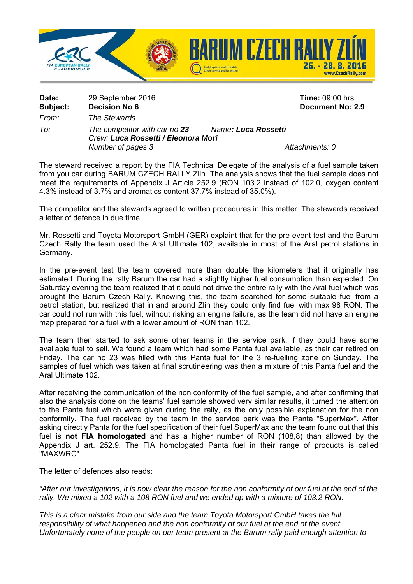

| Date:    | 29 September 2016                                                    | <b>Time: 09:00 hrs</b>  |
|----------|----------------------------------------------------------------------|-------------------------|
| Subject: | <b>Decision No 6</b>                                                 | <b>Document No: 2.9</b> |
| From:    | The Stewards                                                         |                         |
| To:      | The competitor with car no 23<br>Crew: Luca Rossetti / Eleonora Mori | Name: Luca Rossetti     |
|          | Number of pages 3                                                    | Attachments: 0          |

The steward received a report by the FIA Technical Delegate of the analysis of a fuel sample taken from you car during BARUM CZECH RALLY Zlin. The analysis shows that the fuel sample does not meet the requirements of Appendix J Article 252.9 (RON 103.2 instead of 102.0, oxygen content 4.3% instead of 3.7% and aromatics content 37.7% instead of 35.0%).

The competitor and the stewards agreed to written procedures in this matter. The stewards received a letter of defence in due time.

Mr. Rossetti and Toyota Motorsport GmbH (GER) explaint that for the pre-event test and the Barum Czech Rally the team used the Aral Ultimate 102, available in most of the Aral petrol stations in Germany.

In the pre-event test the team covered more than double the kilometers that it originally has estimated. During the rally Barum the car had a slightly higher fuel consumption than expected. On Saturday evening the team realized that it could not drive the entire rally with the Aral fuel which was brought the Barum Czech Rally. Knowing this, the team searched for some suitable fuel from a petrol station, but realized that in and around Zlin they could only find fuel with max 98 RON. The car could not run with this fuel, without risking an engine failure, as the team did not have an engine map prepared for a fuel with a lower amount of RON than 102.

The team then started to ask some other teams in the service park, if they could have some available fuel to sell. We found a team which had some Panta fuel available, as their car retired on Friday. The car no 23 was filled with this Panta fuel for the 3 re-fuelling zone on Sunday. The samples of fuel which was taken at final scrutineering was then a mixture of this Panta fuel and the Aral Ultimate 102.

After receiving the communication of the non conformity of the fuel sample, and after confirming that also the analysis done on the teams' fuel sample showed very similar results, it turned the attention to the Panta fuel which were given during the rally, as the only possible explanation for the non conformity. The fuel received by the team in the service park was the Panta "SuperMax". After asking directly Panta for the fuel specification of their fuel SuperMax and the team found out that this fuel is **not FIA homologated** and has a higher number of RON (108,8) than allowed by the Appendix J art. 252.9. The FIA homologated Panta fuel in their range of products is called "MAXWRC".

The letter of defences also reads:

*"After our investigations, it is now clear the reason for the non conformity of our fuel at the end of the*  rally. We mixed a 102 with a 108 RON fuel and we ended up with a mixture of 103.2 RON.

*This is a clear mistake from our side and the team Toyota Motorsport GmbH takes the full responsibility of what happened and the non conformity of our fuel at the end of the event. Unfortunately none of the people on our team present at the Barum rally paid enough attention to*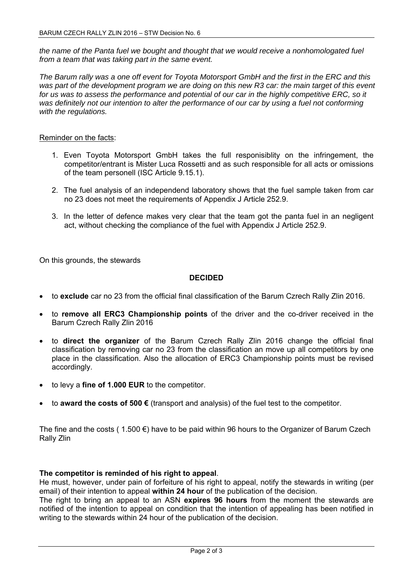*the name of the Panta fuel we bought and thought that we would receive a nonhomologated fuel from a team that was taking part in the same event.* 

*The Barum rally was a one off event for Toyota Motorsport GmbH and the first in the ERC and this*  was part of the development program we are doing on this new R3 car: the main target of this event for us was to assess the performance and potential of our car in the highly competitive ERC, so it was definitely not our intention to alter the performance of our car by using a fuel not conforming *with the regulations.* 

## Reminder on the facts:

- 1. Even Toyota Motorsport GmbH takes the full responisiblity on the infringement, the competitor/entrant is Mister Luca Rossetti and as such responsible for all acts or omissions of the team personell (ISC Article 9.15.1).
- 2. The fuel analysis of an independend laboratory shows that the fuel sample taken from car no 23 does not meet the requirements of Appendix J Article 252.9.
- 3. In the letter of defence makes very clear that the team got the panta fuel in an negligent act, without checking the compliance of the fuel with Appendix J Article 252.9.

On this grounds, the stewards

## **DECIDED**

- to **exclude** car no 23 from the official final classification of the Barum Czrech Rally Zlin 2016.
- to **remove all ERC3 Championship points** of the driver and the co-driver received in the Barum Czrech Rally Zlin 2016
- to **direct the organizer** of the Barum Czrech Rally Zlin 2016 change the official final classification by removing car no 23 from the classification an move up all competitors by one place in the classification. Also the allocation of ERC3 Championship points must be revised accordingly.
- to levy a **fine of 1.000 EUR** to the competitor.
- to **award the costs of 500 €** (transport and analysis) of the fuel test to the competitor.

The fine and the costs (1.500  $\epsilon$ ) have to be paid within 96 hours to the Organizer of Barum Czech Rally Zlin

## **The competitor is reminded of his right to appeal**.

He must, however, under pain of forfeiture of his right to appeal, notify the stewards in writing (per email) of their intention to appeal **within 24 hour** of the publication of the decision.

The right to bring an appeal to an ASN **expires 96 hours** from the moment the stewards are notified of the intention to appeal on condition that the intention of appealing has been notified in writing to the stewards within 24 hour of the publication of the decision.